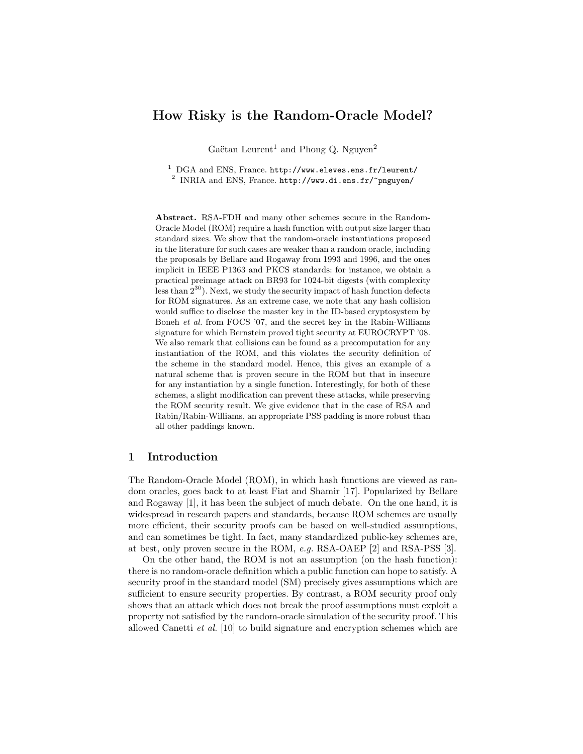# How Risky is the Random-Oracle Model?

Gaëtan Leurent<sup>1</sup> and Phong Q. Nguyen<sup>2</sup>

<sup>1</sup> DGA and ENS, France. http://www.eleves.ens.fr/leurent/  $^2$  INRIA and ENS, France. http://www.di.ens.fr/~pnguyen/

Abstract. RSA-FDH and many other schemes secure in the Random-Oracle Model (ROM) require a hash function with output size larger than standard sizes. We show that the random-oracle instantiations proposed in the literature for such cases are weaker than a random oracle, including the proposals by Bellare and Rogaway from 1993 and 1996, and the ones implicit in IEEE P1363 and PKCS standards: for instance, we obtain a practical preimage attack on BR93 for 1024-bit digests (with complexity less than  $2^{30}$ ). Next, we study the security impact of hash function defects for ROM signatures. As an extreme case, we note that any hash collision would suffice to disclose the master key in the ID-based cryptosystem by Boneh et al. from FOCS '07, and the secret key in the Rabin-Williams signature for which Bernstein proved tight security at EUROCRYPT '08. We also remark that collisions can be found as a precomputation for any instantiation of the ROM, and this violates the security definition of the scheme in the standard model. Hence, this gives an example of a natural scheme that is proven secure in the ROM but that in insecure for any instantiation by a single function. Interestingly, for both of these schemes, a slight modification can prevent these attacks, while preserving the ROM security result. We give evidence that in the case of RSA and Rabin/Rabin-Williams, an appropriate PSS padding is more robust than all other paddings known.

## 1 Introduction

The Random-Oracle Model (ROM), in which hash functions are viewed as random oracles, goes back to at least Fiat and Shamir [17]. Popularized by Bellare and Rogaway [1], it has been the subject of much debate. On the one hand, it is widespread in research papers and standards, because ROM schemes are usually more efficient, their security proofs can be based on well-studied assumptions, and can sometimes be tight. In fact, many standardized public-key schemes are, at best, only proven secure in the ROM, e.g. RSA-OAEP [2] and RSA-PSS [3].

On the other hand, the ROM is not an assumption (on the hash function): there is no random-oracle definition which a public function can hope to satisfy. A security proof in the standard model (SM) precisely gives assumptions which are sufficient to ensure security properties. By contrast, a ROM security proof only shows that an attack which does not break the proof assumptions must exploit a property not satisfied by the random-oracle simulation of the security proof. This allowed Canetti et al. [10] to build signature and encryption schemes which are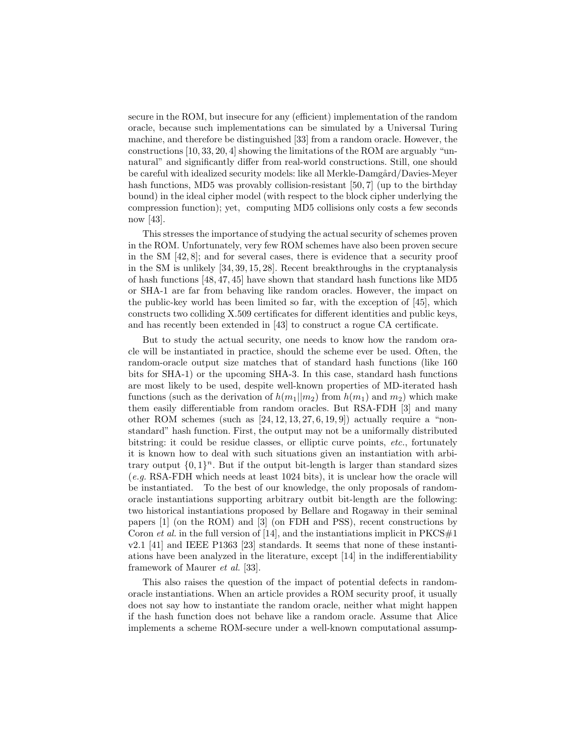secure in the ROM, but insecure for any (efficient) implementation of the random oracle, because such implementations can be simulated by a Universal Turing machine, and therefore be distinguished [33] from a random oracle. However, the constructions [10, 33, 20, 4] showing the limitations of the ROM are arguably "unnatural" and significantly differ from real-world constructions. Still, one should be careful with idealized security models: like all Merkle-Damgård/Davies-Meyer hash functions, MD5 was provably collision-resistant [50, 7] (up to the birthday bound) in the ideal cipher model (with respect to the block cipher underlying the compression function); yet, computing MD5 collisions only costs a few seconds now [43].

This stresses the importance of studying the actual security of schemes proven in the ROM. Unfortunately, very few ROM schemes have also been proven secure in the SM [42, 8]; and for several cases, there is evidence that a security proof in the SM is unlikely [34, 39, 15, 28]. Recent breakthroughs in the cryptanalysis of hash functions [48, 47, 45] have shown that standard hash functions like MD5 or SHA-1 are far from behaving like random oracles. However, the impact on the public-key world has been limited so far, with the exception of [45], which constructs two colliding X.509 certificates for different identities and public keys, and has recently been extended in [43] to construct a rogue CA certificate.

But to study the actual security, one needs to know how the random oracle will be instantiated in practice, should the scheme ever be used. Often, the random-oracle output size matches that of standard hash functions (like 160 bits for SHA-1) or the upcoming SHA-3. In this case, standard hash functions are most likely to be used, despite well-known properties of MD-iterated hash functions (such as the derivation of  $h(m_1||m_2)$  from  $h(m_1)$  and  $m_2$ ) which make them easily differentiable from random oracles. But RSA-FDH [3] and many other ROM schemes (such as  $[24, 12, 13, 27, 6, 19, 9]$ ) actually require a "nonstandard" hash function. First, the output may not be a uniformally distributed bitstring: it could be residue classes, or elliptic curve points, etc., fortunately it is known how to deal with such situations given an instantiation with arbitrary output  $\{0,1\}^n$ . But if the output bit-length is larger than standard sizes (e.g. RSA-FDH which needs at least 1024 bits), it is unclear how the oracle will be instantiated. To the best of our knowledge, the only proposals of randomoracle instantiations supporting arbitrary outbit bit-length are the following: two historical instantiations proposed by Bellare and Rogaway in their seminal papers [1] (on the ROM) and [3] (on FDH and PSS), recent constructions by Coron et al. in the full version of [14], and the instantiations implicit in  $PKCS#1$ v2.1 [41] and IEEE P1363 [23] standards. It seems that none of these instantiations have been analyzed in the literature, except [14] in the indifferentiability framework of Maurer et al. [33].

This also raises the question of the impact of potential defects in randomoracle instantiations. When an article provides a ROM security proof, it usually does not say how to instantiate the random oracle, neither what might happen if the hash function does not behave like a random oracle. Assume that Alice implements a scheme ROM-secure under a well-known computational assump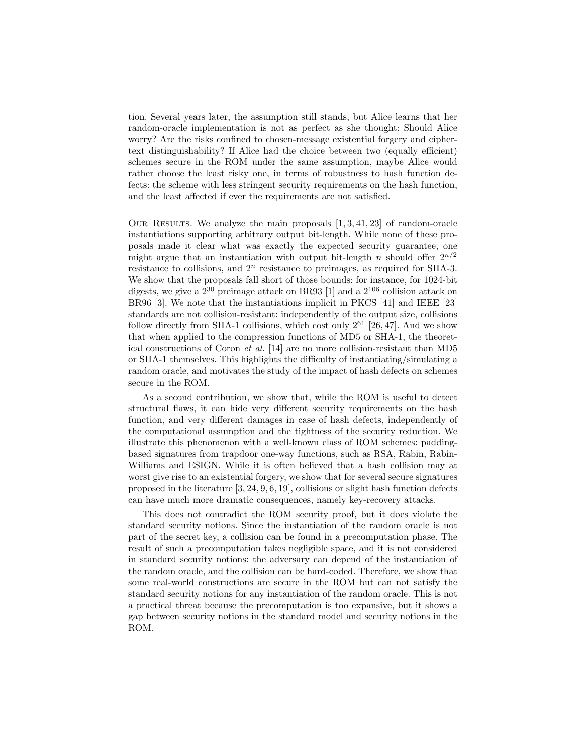tion. Several years later, the assumption still stands, but Alice learns that her random-oracle implementation is not as perfect as she thought: Should Alice worry? Are the risks confined to chosen-message existential forgery and ciphertext distinguishability? If Alice had the choice between two (equally efficient) schemes secure in the ROM under the same assumption, maybe Alice would rather choose the least risky one, in terms of robustness to hash function defects: the scheme with less stringent security requirements on the hash function, and the least affected if ever the requirements are not satisfied.

OUR RESULTS. We analyze the main proposals  $[1, 3, 41, 23]$  of random-oracle instantiations supporting arbitrary output bit-length. While none of these proposals made it clear what was exactly the expected security guarantee, one might argue that an instantiation with output bit-length n should offer  $2^{n/2}$ resistance to collisions, and  $2^n$  resistance to preimages, as required for SHA-3. We show that the proposals fall short of those bounds: for instance, for 1024-bit digests, we give a  $2^{30}$  preimage attack on BR93 [1] and a  $2^{106}$  collision attack on BR96 [3]. We note that the instantiations implicit in PKCS [41] and IEEE [23] standards are not collision-resistant: independently of the output size, collisions follow directly from SHA-1 collisions, which cost only  $2^{61}$  [26, 47]. And we show that when applied to the compression functions of MD5 or SHA-1, the theoretical constructions of Coron et al. [14] are no more collision-resistant than MD5 or SHA-1 themselves. This highlights the difficulty of instantiating/simulating a random oracle, and motivates the study of the impact of hash defects on schemes secure in the ROM.

As a second contribution, we show that, while the ROM is useful to detect structural flaws, it can hide very different security requirements on the hash function, and very different damages in case of hash defects, independently of the computational assumption and the tightness of the security reduction. We illustrate this phenomenon with a well-known class of ROM schemes: paddingbased signatures from trapdoor one-way functions, such as RSA, Rabin, Rabin-Williams and ESIGN. While it is often believed that a hash collision may at worst give rise to an existential forgery, we show that for several secure signatures proposed in the literature [3, 24, 9, 6, 19], collisions or slight hash function defects can have much more dramatic consequences, namely key-recovery attacks.

This does not contradict the ROM security proof, but it does violate the standard security notions. Since the instantiation of the random oracle is not part of the secret key, a collision can be found in a precomputation phase. The result of such a precomputation takes negligible space, and it is not considered in standard security notions: the adversary can depend of the instantiation of the random oracle, and the collision can be hard-coded. Therefore, we show that some real-world constructions are secure in the ROM but can not satisfy the standard security notions for any instantiation of the random oracle. This is not a practical threat because the precomputation is too expansive, but it shows a gap between security notions in the standard model and security notions in the ROM.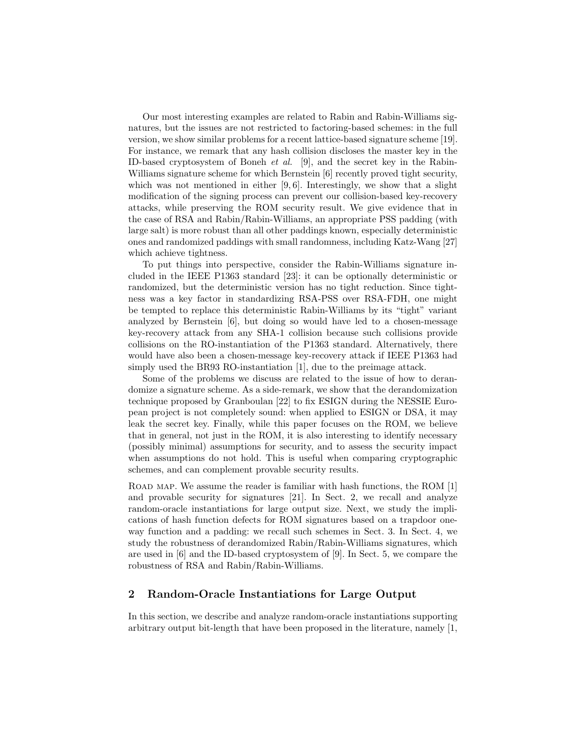Our most interesting examples are related to Rabin and Rabin-Williams signatures, but the issues are not restricted to factoring-based schemes: in the full version, we show similar problems for a recent lattice-based signature scheme [19]. For instance, we remark that any hash collision discloses the master key in the ID-based cryptosystem of Boneh et al. [9], and the secret key in the Rabin-Williams signature scheme for which Bernstein [6] recently proved tight security, which was not mentioned in either [9, 6]. Interestingly, we show that a slight modification of the signing process can prevent our collision-based key-recovery attacks, while preserving the ROM security result. We give evidence that in the case of RSA and Rabin/Rabin-Williams, an appropriate PSS padding (with large salt) is more robust than all other paddings known, especially deterministic ones and randomized paddings with small randomness, including Katz-Wang [27] which achieve tightness.

To put things into perspective, consider the Rabin-Williams signature included in the IEEE P1363 standard [23]: it can be optionally deterministic or randomized, but the deterministic version has no tight reduction. Since tightness was a key factor in standardizing RSA-PSS over RSA-FDH, one might be tempted to replace this deterministic Rabin-Williams by its "tight" variant analyzed by Bernstein [6], but doing so would have led to a chosen-message key-recovery attack from any SHA-1 collision because such collisions provide collisions on the RO-instantiation of the P1363 standard. Alternatively, there would have also been a chosen-message key-recovery attack if IEEE P1363 had simply used the BR93 RO-instantiation [1], due to the preimage attack.

Some of the problems we discuss are related to the issue of how to derandomize a signature scheme. As a side-remark, we show that the derandomization technique proposed by Granboulan [22] to fix ESIGN during the NESSIE European project is not completely sound: when applied to ESIGN or DSA, it may leak the secret key. Finally, while this paper focuses on the ROM, we believe that in general, not just in the ROM, it is also interesting to identify necessary (possibly minimal) assumptions for security, and to assess the security impact when assumptions do not hold. This is useful when comparing cryptographic schemes, and can complement provable security results.

ROAD MAP. We assume the reader is familiar with hash functions, the ROM [1] and provable security for signatures [21]. In Sect. 2, we recall and analyze random-oracle instantiations for large output size. Next, we study the implications of hash function defects for ROM signatures based on a trapdoor oneway function and a padding: we recall such schemes in Sect. 3. In Sect. 4, we study the robustness of derandomized Rabin/Rabin-Williams signatures, which are used in [6] and the ID-based cryptosystem of [9]. In Sect. 5, we compare the robustness of RSA and Rabin/Rabin-Williams.

# 2 Random-Oracle Instantiations for Large Output

In this section, we describe and analyze random-oracle instantiations supporting arbitrary output bit-length that have been proposed in the literature, namely [1,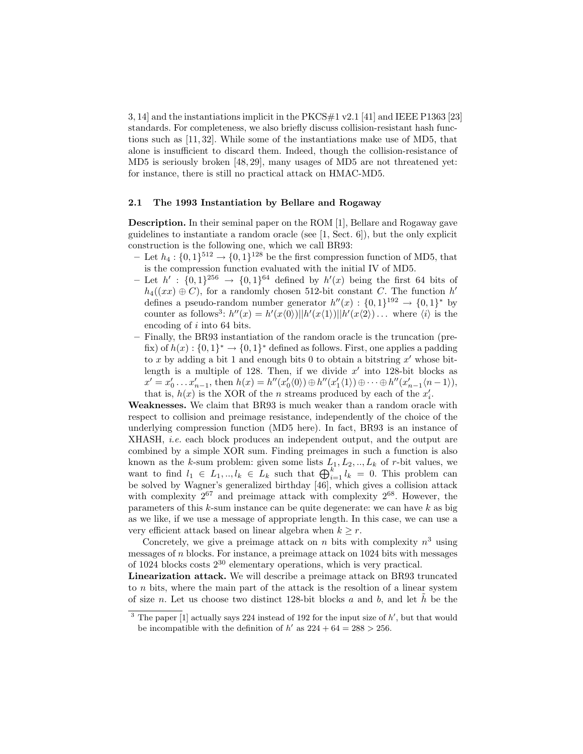3, 14] and the instantiations implicit in the PKCS#1 v2.1 [41] and IEEE P1363 [23] standards. For completeness, we also briefly discuss collision-resistant hash functions such as [11, 32]. While some of the instantiations make use of MD5, that alone is insufficient to discard them. Indeed, though the collision-resistance of MD5 is seriously broken [48, 29], many usages of MD5 are not threatened yet: for instance, there is still no practical attack on HMAC-MD5.

### 2.1 The 1993 Instantiation by Bellare and Rogaway

Description. In their seminal paper on the ROM [1], Bellare and Rogaway gave guidelines to instantiate a random oracle (see [1, Sect. 6]), but the only explicit construction is the following one, which we call BR93:

- Let  $h_4: \{0,1\}^{512} \rightarrow \{0,1\}^{128}$  be the first compression function of MD5, that is the compression function evaluated with the initial IV of MD5.
- Let  $h' : \{0,1\}^{256} \rightarrow \{0,1\}^{64}$  defined by  $h'(x)$  being the first 64 bits of  $h_4((xx) \oplus C)$ , for a randomly chosen 512-bit constant C. The function  $h'$ defines a pseudo-random number generator  $h''(x) : \{0,1\}^{192} \rightarrow \{0,1\}^*$  by counter as follows<sup>3</sup>:  $h''(x) = h'(x\langle 0 \rangle) ||h'(x\langle 1 \rangle) ||h'(x\langle 2 \rangle) \dots$  where  $\langle i \rangle$  is the encoding of i into 64 bits.
- Finally, the BR93 instantiation of the random oracle is the truncation (prefix) of  $h(x): \{0,1\}^* \to \{0,1\}^*$  defined as follows. First, one applies a padding to x by adding a bit 1 and enough bits 0 to obtain a bitstring  $x'$  whose bitlength is a multiple of 128. Then, if we divide  $x'$  into 128-bit blocks as  $x' = x'_0 \dots x'_{n-1}$ , then  $h(x) = h''(x'_0(0)) \oplus h''(x'_1(1)) \oplus \cdots \oplus h''(x'_{n-1}(n-1)),$ that is,  $h(x)$  is the XOR of the *n* streams produced by each of the  $x'_i$ .

Weaknesses. We claim that BR93 is much weaker than a random oracle with respect to collision and preimage resistance, independently of the choice of the underlying compression function (MD5 here). In fact, BR93 is an instance of XHASH, i.e. each block produces an independent output, and the output are combined by a simple XOR sum. Finding preimages in such a function is also known as the k-sum problem: given some lists  $L_1, L_2, \ldots, L_k$  of r-bit values, we want to find  $l_1 \in L_1, ..., l_k \in L_k$  such that  $\bigoplus_{i=1}^k l_k = 0$ . This problem can be solved by Wagner's generalized birthday [46], which gives a collision attack with complexity  $2^{67}$  and preimage attack with complexity  $2^{68}$ . However, the parameters of this  $k$ -sum instance can be quite degenerate: we can have  $k$  as big as we like, if we use a message of appropriate length. In this case, we can use a very efficient attack based on linear algebra when  $k \geq r$ .

Concretely, we give a preimage attack on n bits with complexity  $n^3$  using messages of  $n$  blocks. For instance, a preimage attack on 1024 bits with messages of  $1024$  blocks costs  $2^{30}$  elementary operations, which is very practical.

Linearization attack. We will describe a preimage attack on BR93 truncated to n bits, where the main part of the attack is the resoltion of a linear system of size n. Let us choose two distinct 128-bit blocks a and b, and let  $\tilde{h}$  be the

<sup>&</sup>lt;sup>3</sup> The paper [1] actually says 224 instead of 192 for the input size of  $h'$ , but that would be incompatible with the definition of  $h'$  as  $224 + 64 = 288 > 256$ .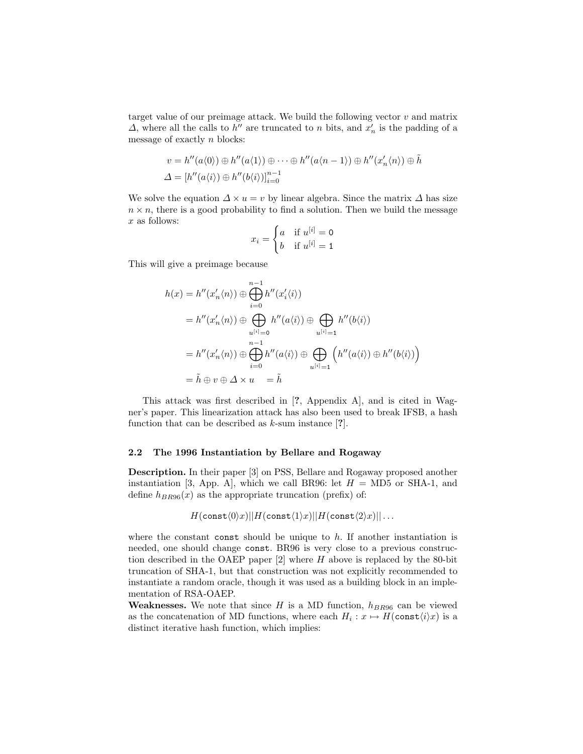target value of our preimage attack. We build the following vector  $v$  and matrix  $\Delta$ , where all the calls to  $h''$  are truncated to n bits, and  $x'_n$  is the padding of a message of exactly  $n$  blocks:

$$
v = h''(a\langle 0 \rangle) \oplus h''(a\langle 1 \rangle) \oplus \cdots \oplus h''(a\langle n-1 \rangle) \oplus h''(x'_n\langle n \rangle) \oplus \tilde{h}
$$
  

$$
\Delta = [h''(a\langle i \rangle) \oplus h''(b\langle i \rangle)]_{i=0}^{n-1}
$$

We solve the equation  $\Delta \times u = v$  by linear algebra. Since the matrix  $\Delta$  has size  $n \times n$ , there is a good probability to find a solution. Then we build the message x as follows:

$$
x_i = \begin{cases} a & \text{if } u^{[i]} = 0 \\ b & \text{if } u^{[i]} = 1 \end{cases}
$$

This will give a preimage because

$$
h(x) = h''(x'_n \langle n \rangle) \oplus \bigoplus_{i=0}^{n-1} h''(x'_i \langle i \rangle)
$$
  
\n
$$
= h''(x'_n \langle n \rangle) \oplus \bigoplus_{u^{[i]}=0} h''(a \langle i \rangle) \oplus \bigoplus_{u^{[i]}=1} h''(b \langle i \rangle)
$$
  
\n
$$
= h''(x'_n \langle n \rangle) \oplus \bigoplus_{i=0}^{n-1} h''(a \langle i \rangle) \oplus \bigoplus_{u^{[i]}=1} \left( h''(a \langle i \rangle) \oplus h''(b \langle i \rangle) \right)
$$
  
\n
$$
= \tilde{h} \oplus v \oplus \Delta \times u = \tilde{h}
$$

This attack was first described in [?, Appendix A], and is cited in Wagner's paper. This linearization attack has also been used to break IFSB, a hash function that can be described as  $k$ -sum instance [?].

### 2.2 The 1996 Instantiation by Bellare and Rogaway

Description. In their paper [3] on PSS, Bellare and Rogaway proposed another instantiation [3, App. A], which we call BR96: let  $H = M\text{D}5$  or SHA-1, and define  $h_{BR96}(x)$  as the appropriate truncation (prefix) of:

$$
H(\mathsf{const}\langle0\rangle x) || H(\mathsf{const}\langle1\rangle x) || H(\mathsf{const}\langle2\rangle x) || \ldots
$$

where the constant const should be unique to  $h$ . If another instantiation is needed, one should change const. BR96 is very close to a previous construction described in the OAEP paper  $[2]$  where H above is replaced by the 80-bit truncation of SHA-1, but that construction was not explicitly recommended to instantiate a random oracle, though it was used as a building block in an implementation of RSA-OAEP.

**Weaknesses.** We note that since H is a MD function,  $h_{BR96}$  can be viewed as the concatenation of MD functions, where each  $H_i: x \mapsto H(\text{const}\langle i \rangle x)$  is a distinct iterative hash function, which implies: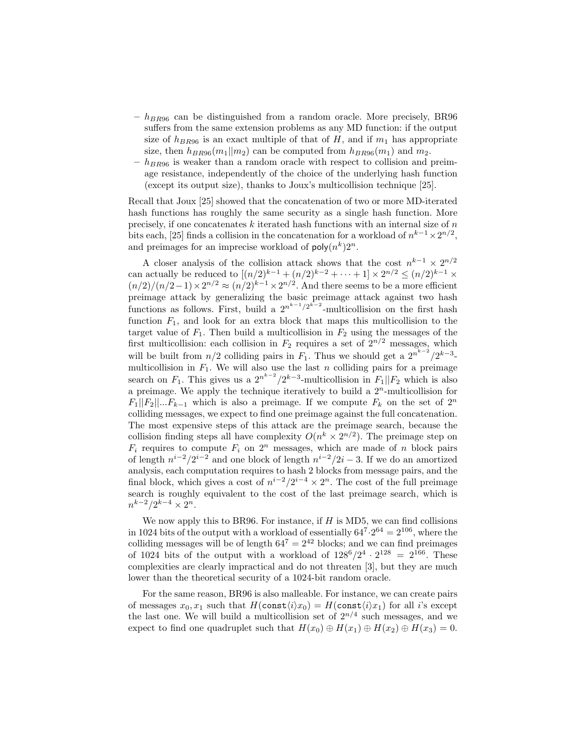- $h_{BR96}$  can be distinguished from a random oracle. More precisely, BR96 suffers from the same extension problems as any MD function: if the output size of  $h_{BR96}$  is an exact multiple of that of H, and if  $m_1$  has appropriate size, then  $h_{BR96}(m_1||m_2)$  can be computed from  $h_{BR96}(m_1)$  and  $m_2$ .
- $-h_{BR96}$  is weaker than a random oracle with respect to collision and preimage resistance, independently of the choice of the underlying hash function (except its output size), thanks to Joux's multicollision technique [25].

Recall that Joux [25] showed that the concatenation of two or more MD-iterated hash functions has roughly the same security as a single hash function. More precisely, if one concatenates  $k$  iterated hash functions with an internal size of  $n$ bits each, [25] finds a collision in the concatenation for a workload of  $n^{k-1} \times 2^{n/2}$ , and preimages for an imprecise workload of  $\text{poly}(n^k)2^n$ .

A closer analysis of the collision attack shows that the cost  $n^{k-1} \times 2^{n/2}$ can actually be reduced to  $[(n/2)^{k-1} + (n/2)^{k-2} + \cdots + 1] \times 2^{n/2} \le (n/2)^{k-1} \times$  $(n/2)/(n/2-1) \times 2^{n/2} \approx (n/2)^{k-1} \times 2^{n/2}$ . And there seems to be a more efficient preimage attack by generalizing the basic preimage attack against two hash functions as follows. First, build a  $2^{n^{k-1}/2^{k-2}}$ -multicollision on the first hash function  $F_1$ , and look for an extra block that maps this multicollision to the target value of  $F_1$ . Then build a multicollision in  $F_2$  using the messages of the first multicollision: each collision in  $F_2$  requires a set of  $2^{n/2}$  messages, which will be built from  $n/2$  colliding pairs in  $F_1$ . Thus we should get a  $2^{n^{k-2}}/2^{k-3}$ multicollision in  $F_1$ . We will also use the last n colliding pairs for a preimage search on  $F_1$ . This gives us a  $2^{n^{k-2}}/2^{k-3}$ -multicollision in  $F_1||F_2$  which is also a preimage. We apply the technique iteratively to build a  $2<sup>n</sup>$ -multicollision for  $F_1||F_2||...F_{k-1}$  which is also a preimage. If we compute  $F_k$  on the set of  $2^n$ colliding messages, we expect to find one preimage against the full concatenation. The most expensive steps of this attack are the preimage search, because the collision finding steps all have complexity  $O(n^k \times 2^{n/2})$ . The preimage step on  $F_i$  requires to compute  $F_i$  on  $2^n$  messages, which are made of n block pairs of length  $n^{i-2}/2^{i-2}$  and one block of length  $n^{i-2}/2i-3$ . If we do an amortized analysis, each computation requires to hash 2 blocks from message pairs, and the final block, which gives a cost of  $n^{i-2}/2^{i-4} \times 2^n$ . The cost of the full preimage search is roughly equivalent to the cost of the last preimage search, which is  $n^{k-2}/2^{k-4} \times 2^n$ .

We now apply this to BR96. For instance, if  $H$  is MD5, we can find collisions in 1024 bits of the output with a workload of essentially  $64^7 \cdot 2^{64} = 2^{106}$ , where the colliding messages will be of length  $64^7 = 2^{42}$  blocks; and we can find preimages of 1024 bits of the output with a workload of  $128^6/2^4 \cdot 2^{128} = 2^{166}$ . These complexities are clearly impractical and do not threaten [3], but they are much lower than the theoretical security of a 1024-bit random oracle.

For the same reason, BR96 is also malleable. For instance, we can create pairs of messages  $x_0, x_1$  such that  $H(\text{const}(i)x_0) = H(\text{const}(i)x_1)$  for all i's except the last one. We will build a multicollision set of  $2^{n/4}$  such messages, and we expect to find one quadruplet such that  $H(x_0) \oplus H(x_1) \oplus H(x_2) \oplus H(x_3) = 0$ .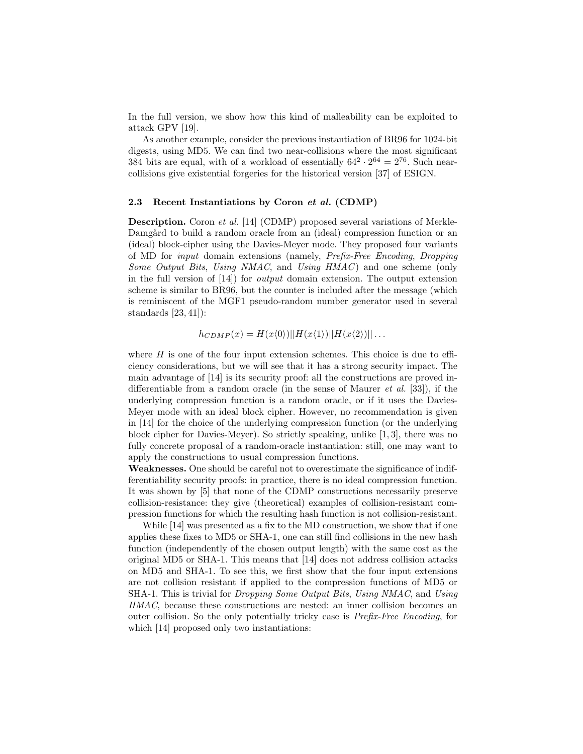In the full version, we show how this kind of malleability can be exploited to attack GPV [19].

As another example, consider the previous instantiation of BR96 for 1024-bit digests, using MD5. We can find two near-collisions where the most significant 384 bits are equal, with of a workload of essentially  $64^2 \cdot 2^{64} = 2^{76}$ . Such nearcollisions give existential forgeries for the historical version [37] of ESIGN.

### 2.3 Recent Instantiations by Coron et al. (CDMP)

Description. Coron et al. [14] (CDMP) proposed several variations of Merkle-Damgård to build a random oracle from an (ideal) compression function or an (ideal) block-cipher using the Davies-Meyer mode. They proposed four variants of MD for input domain extensions (namely, Prefix-Free Encoding, Dropping Some Output Bits, Using NMAC, and Using HMAC) and one scheme (only in the full version of  $[14]$  for *output* domain extension. The output extension scheme is similar to BR96, but the counter is included after the message (which is reminiscent of the MGF1 pseudo-random number generator used in several standards [23, 41]):

$$
h_{CDMP}(x) = H(x\langle 0 \rangle) ||H(x\langle 1 \rangle)||H(x\langle 2 \rangle)|| \dots
$$

where  $H$  is one of the four input extension schemes. This choice is due to efficiency considerations, but we will see that it has a strong security impact. The main advantage of [14] is its security proof: all the constructions are proved indifferentiable from a random oracle (in the sense of Maurer *et al.* [33]), if the underlying compression function is a random oracle, or if it uses the Davies-Meyer mode with an ideal block cipher. However, no recommendation is given in [14] for the choice of the underlying compression function (or the underlying block cipher for Davies-Meyer). So strictly speaking, unlike [1, 3], there was no fully concrete proposal of a random-oracle instantiation: still, one may want to apply the constructions to usual compression functions.

Weaknesses. One should be careful not to overestimate the significance of indifferentiability security proofs: in practice, there is no ideal compression function. It was shown by [5] that none of the CDMP constructions necessarily preserve collision-resistance: they give (theoretical) examples of collision-resistant compression functions for which the resulting hash function is not collision-resistant.

While [14] was presented as a fix to the MD construction, we show that if one applies these fixes to MD5 or SHA-1, one can still find collisions in the new hash function (independently of the chosen output length) with the same cost as the original MD5 or SHA-1. This means that [14] does not address collision attacks on MD5 and SHA-1. To see this, we first show that the four input extensions are not collision resistant if applied to the compression functions of MD5 or SHA-1. This is trivial for *Dropping Some Output Bits, Using NMAC*, and *Using* HMAC, because these constructions are nested: an inner collision becomes an outer collision. So the only potentially tricky case is Prefix-Free Encoding, for which [14] proposed only two instantiations: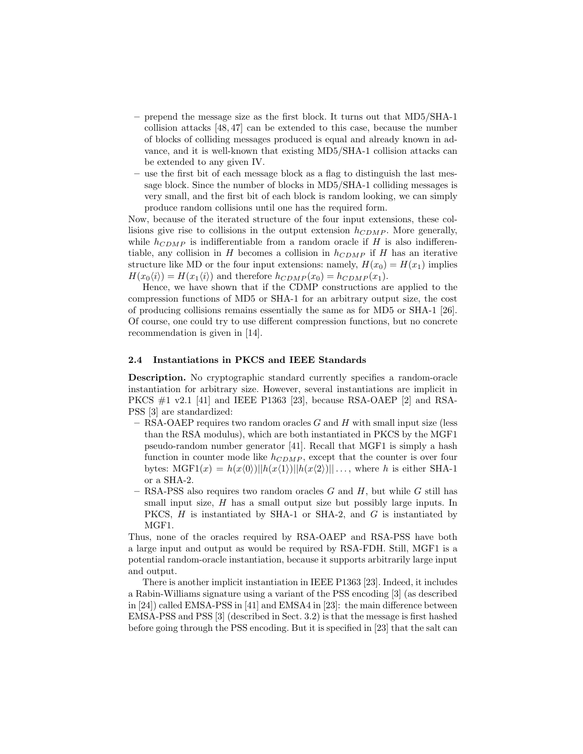- prepend the message size as the first block. It turns out that MD5/SHA-1 collision attacks [48, 47] can be extended to this case, because the number of blocks of colliding messages produced is equal and already known in advance, and it is well-known that existing MD5/SHA-1 collision attacks can be extended to any given IV.
- use the first bit of each message block as a flag to distinguish the last message block. Since the number of blocks in MD5/SHA-1 colliding messages is very small, and the first bit of each block is random looking, we can simply produce random collisions until one has the required form.

Now, because of the iterated structure of the four input extensions, these collisions give rise to collisions in the output extension  $h_{CDMP}$ . More generally, while  $h_{CDMP}$  is indifferentiable from a random oracle if H is also indifferentiable, any collision in H becomes a collision in  $h_{CDMP}$  if H has an iterative structure like MD or the four input extensions: namely,  $H(x_0) = H(x_1)$  implies  $H(x_0\langle i \rangle) = H(x_1\langle i \rangle)$  and therefore  $h_{CDMP}(x_0) = h_{CDMP}(x_1)$ .

Hence, we have shown that if the CDMP constructions are applied to the compression functions of MD5 or SHA-1 for an arbitrary output size, the cost of producing collisions remains essentially the same as for MD5 or SHA-1 [26]. Of course, one could try to use different compression functions, but no concrete recommendation is given in [14].

### 2.4 Instantiations in PKCS and IEEE Standards

Description. No cryptographic standard currently specifies a random-oracle instantiation for arbitrary size. However, several instantiations are implicit in PKCS #1 v2.1 [41] and IEEE P1363 [23], because RSA-OAEP [2] and RSA-PSS [3] are standardized:

- $-$  RSA-OAEP requires two random oracles G and H with small input size (less than the RSA modulus), which are both instantiated in PKCS by the MGF1 pseudo-random number generator [41]. Recall that MGF1 is simply a hash function in counter mode like  $h_{CDMP}$ , except that the counter is over four bytes:  $MGF1(x) = h(x\langle 0 \rangle)||h(x\langle 1 \rangle)||h(x\langle 2 \rangle)|| \dots$ , where h is either SHA-1 or a SHA-2.
- RSA-PSS also requires two random oracles  $G$  and  $H$ , but while  $G$  still has small input size,  $H$  has a small output size but possibly large inputs. In PKCS,  $H$  is instantiated by SHA-1 or SHA-2, and  $G$  is instantiated by MGF1.

Thus, none of the oracles required by RSA-OAEP and RSA-PSS have both a large input and output as would be required by RSA-FDH. Still, MGF1 is a potential random-oracle instantiation, because it supports arbitrarily large input and output.

There is another implicit instantiation in IEEE P1363 [23]. Indeed, it includes a Rabin-Williams signature using a variant of the PSS encoding [3] (as described in [24]) called EMSA-PSS in [41] and EMSA4 in [23]: the main difference between EMSA-PSS and PSS [3] (described in Sect. 3.2) is that the message is first hashed before going through the PSS encoding. But it is specified in [23] that the salt can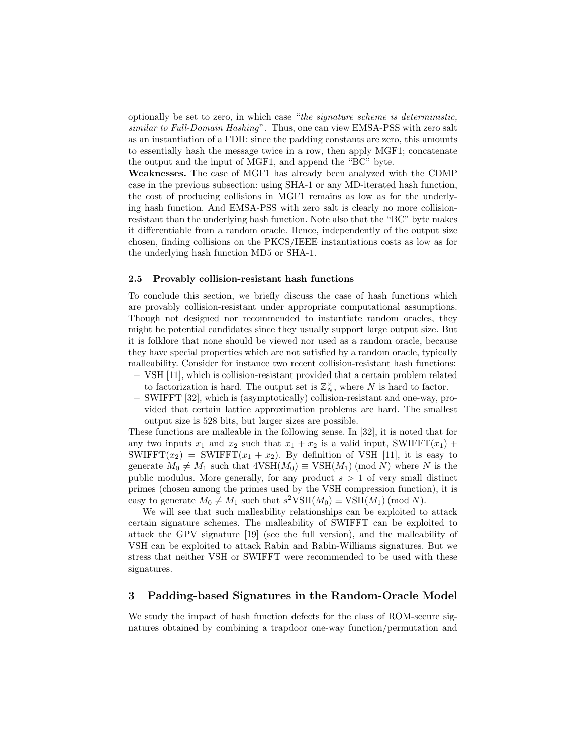optionally be set to zero, in which case "the signature scheme is deterministic, similar to Full-Domain Hashing". Thus, one can view EMSA-PSS with zero salt as an instantiation of a FDH: since the padding constants are zero, this amounts to essentially hash the message twice in a row, then apply MGF1; concatenate the output and the input of MGF1, and append the "BC" byte.

Weaknesses. The case of MGF1 has already been analyzed with the CDMP case in the previous subsection: using SHA-1 or any MD-iterated hash function, the cost of producing collisions in MGF1 remains as low as for the underlying hash function. And EMSA-PSS with zero salt is clearly no more collisionresistant than the underlying hash function. Note also that the "BC" byte makes it differentiable from a random oracle. Hence, independently of the output size chosen, finding collisions on the PKCS/IEEE instantiations costs as low as for the underlying hash function MD5 or SHA-1.

#### 2.5 Provably collision-resistant hash functions

To conclude this section, we briefly discuss the case of hash functions which are provably collision-resistant under appropriate computational assumptions. Though not designed nor recommended to instantiate random oracles, they might be potential candidates since they usually support large output size. But it is folklore that none should be viewed nor used as a random oracle, because they have special properties which are not satisfied by a random oracle, typically malleability. Consider for instance two recent collision-resistant hash functions:

- VSH [11], which is collision-resistant provided that a certain problem related to factorization is hard. The output set is  $\mathbb{Z}_N^{\times}$ , where N is hard to factor.
- SWIFFT [32], which is (asymptotically) collision-resistant and one-way, provided that certain lattice approximation problems are hard. The smallest output size is 528 bits, but larger sizes are possible.

These functions are malleable in the following sense. In [32], it is noted that for any two inputs  $x_1$  and  $x_2$  such that  $x_1 + x_2$  is a valid input, SWIFFT( $x_1$ ) + SWIFFT $(x_2)$  = SWIFFT $(x_1 + x_2)$ . By definition of VSH [11], it is easy to generate  $M_0 \neq M_1$  such that  $4VSH(M_0) \equiv VSH(M_1) \pmod{N}$  where N is the public modulus. More generally, for any product  $s > 1$  of very small distinct primes (chosen among the primes used by the VSH compression function), it is easy to generate  $M_0 \neq M_1$  such that  $s^2 \text{VSH}(M_0) \equiv \text{VSH}(M_1) \pmod{N}$ .

We will see that such malleability relationships can be exploited to attack certain signature schemes. The malleability of SWIFFT can be exploited to attack the GPV signature [19] (see the full version), and the malleability of VSH can be exploited to attack Rabin and Rabin-Williams signatures. But we stress that neither VSH or SWIFFT were recommended to be used with these signatures.

# 3 Padding-based Signatures in the Random-Oracle Model

We study the impact of hash function defects for the class of ROM-secure signatures obtained by combining a trapdoor one-way function/permutation and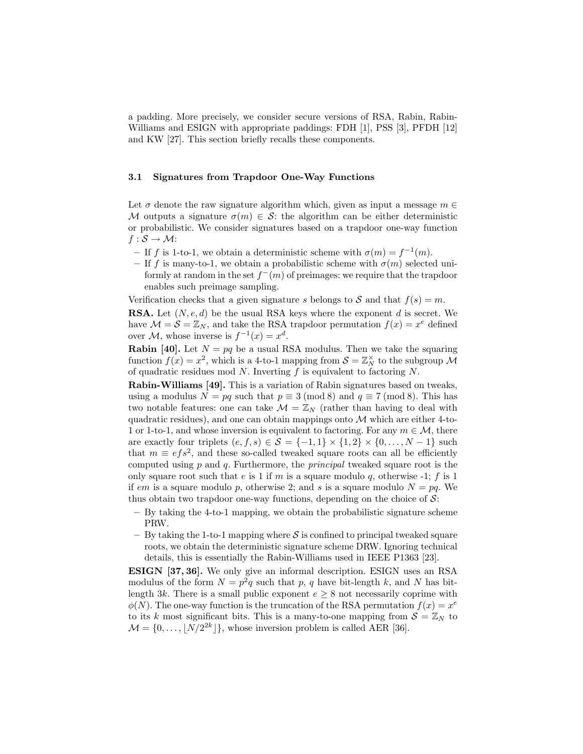a padding. More precisely, we consider secure versions of RSA, Rabin, Rabin-Williams and ESIGN with appropriate paddings: FDH [1], PSS [3], PFDH [12] and KW [27]. This section briefly recalls these components.

## 3.1 Signatures from Trapdoor One-Way Functions

Let  $\sigma$  denote the raw signature algorithm which, given as input a message  $m \in$ M outputs a signature  $\sigma(m) \in \mathcal{S}$ : the algorithm can be either deterministic or probabilistic. We consider signatures based on a trapdoor one-way function  $f : \mathcal{S} \rightarrow \mathcal{M}$ :

- If f is 1-to-1, we obtain a deterministic scheme with  $\sigma(m) = f^{-1}(m)$ .
- If f is many-to-1, we obtain a probabilistic scheme with  $\sigma(m)$  selected uniformly at random in the set  $f^-(m)$  of preimages: we require that the trapdoor enables such preimage sampling.

Verification checks that a given signature s belongs to S and that  $f(s) = m$ .

**RSA.** Let  $(N, e, d)$  be the usual RSA keys where the exponent d is secret. We have  $\mathcal{M} = \mathcal{S} = \mathbb{Z}_N$ , and take the RSA trapdoor permutation  $f(x) = x^e$  defined over  $\mathcal{M}$ , whose inverse is  $f^{-1}(x) = x^d$ .

**Rabin [40].** Let  $N = pq$  be a usual RSA modulus. Then we take the squaring function  $f(x) = x^2$ , which is a 4-to-1 mapping from  $S = \mathbb{Z}_N^{\times}$  to the subgroup M of quadratic residues mod  $N$ . Inverting  $f$  is equivalent to factoring  $N$ .

Rabin-Williams [49]. This is a variation of Rabin signatures based on tweaks, using a modulus  $N = pq$  such that  $p \equiv 3 \pmod{8}$  and  $q \equiv 7 \pmod{8}$ . This has two notable features: one can take  $\mathcal{M} = \mathbb{Z}_N$  (rather than having to deal with quadratic residues), and one can obtain mappings onto  $\mathcal M$  which are either 4-to-1 or 1-to-1, and whose inversion is equivalent to factoring. For any  $m \in \mathcal{M}$ , there are exactly four triplets  $(e, f, s) \in \mathcal{S} = \{-1, 1\} \times \{1, 2\} \times \{0, \ldots, N - 1\}$  such that  $m \equiv e f s^2$ , and these so-called tweaked square roots can all be efficiently computed using  $p$  and  $q$ . Furthermore, the *principal* tweaked square root is the only square root such that e is 1 if m is a square modulo q, otherwise -1; f is 1 if em is a square modulo p, otherwise 2; and s is a square modulo  $N = pq$ . We thus obtain two trapdoor one-way functions, depending on the choice of  $\mathcal{S}$ :

- By taking the 4-to-1 mapping, we obtain the probabilistic signature scheme PRW.
- By taking the 1-to-1 mapping where  $\mathcal S$  is confined to principal tweaked square roots, we obtain the deterministic signature scheme DRW. Ignoring technical details, this is essentially the Rabin-Williams used in IEEE P1363 [23].

ESIGN [37, 36]. We only give an informal description. ESIGN uses an RSA modulus of the form  $N = p^2q$  such that p, q have bit-length k, and N has bitlength 3k. There is a small public exponent  $e \geq 8$  not necessarily coprime with  $\phi(N)$ . The one-way function is the truncation of the RSA permutation  $f(x) = x^e$ to its k most significant bits. This is a many-to-one mapping from  $S = \mathbb{Z}_N$  to  $\mathcal{M} = \{0, \ldots, |N/2^{2k}| \}$ , whose inversion problem is called AER [36].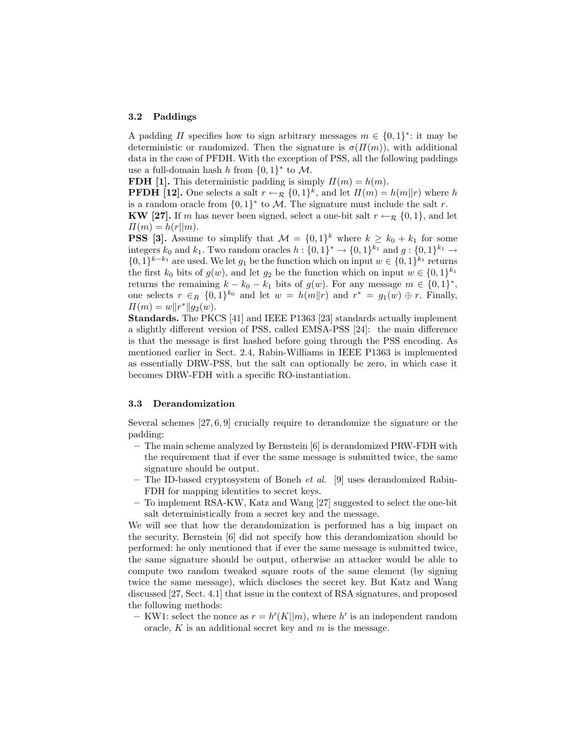#### 3.2 Paddings

A padding  $\Pi$  specifies how to sign arbitrary messages  $m \in \{0,1\}^*$ : it may be deterministic or randomized. Then the signature is  $\sigma(\Pi(m))$ , with additional data in the case of PFDH. With the exception of PSS, all the following paddings use a full-domain hash h from  $\{0,1\}^*$  to M.

FDH [1]. This deterministic padding is simply  $\Pi(m) = h(m)$ .

**PFDH** [12]. One selects a salt  $r \leftarrow_{\mathcal{R}} \{0,1\}^k$ , and let  $\Pi(m) = h(m||r)$  where h is a random oracle from  $\{0,1\}^*$  to M. The signature must include the salt r.

KW [27]. If m has never been signed, select a one-bit salt  $r \leftarrow_R \{0, 1\}$ , and let  $\Pi(m) = h(r||m).$ 

**PSS** [3]. Assume to simplify that  $\mathcal{M} = \{0, 1\}^k$  where  $k \geq k_0 + k_1$  for some integers  $k_0$  and  $k_1$ . Two random oracles  $h: \{0,1\}^* \to \{0,1\}^{k_1}$  and  $g: \{0,1\}^{k_1} \to$  $\{0,1\}^{k-k_1}$  are used. We let  $g_1$  be the function which on input  $w \in \{0,1\}^{k_1}$  returns the first  $k_0$  bits of  $g(w)$ , and let  $g_2$  be the function which on input  $w \in \{0,1\}^{k_1}$ returns the remaining  $k - k_0 - k_1$  bits of  $g(w)$ . For any message  $m \in \{0, 1\}^*$ , one selects  $r \in_R \{0,1\}^{k_0}$  and let  $w = h(m||r)$  and  $r^* = g_1(w) \oplus r$ . Finally,  $\Pi(m) = w \|r^*\| g_2(w).$ 

Standards. The PKCS [41] and IEEE P1363 [23] standards actually implement a slightly different version of PSS, called EMSA-PSS [24]: the main difference is that the message is first hashed before going through the PSS encoding. As mentioned earlier in Sect. 2.4, Rabin-Williams in IEEE P1363 is implemented as essentially DRW-PSS, but the salt can optionally be zero, in which case it becomes DRW-FDH with a specific RO-instantiation.

#### 3.3 Derandomization

Several schemes [27, 6, 9] crucially require to derandomize the signature or the padding:

- The main scheme analyzed by Bernstein [6] is derandomized PRW-FDH with the requirement that if ever the same message is submitted twice, the same signature should be output.
- The ID-based cryptosystem of Boneh et al. [9] uses derandomized Rabin-FDH for mapping identities to secret keys.
- To implement RSA-KW, Katz and Wang [27] suggested to select the one-bit salt deterministically from a secret key and the message.

We will see that how the derandomization is performed has a big impact on the security. Bernstein [6] did not specify how this derandomization should be performed: he only mentioned that if ever the same message is submitted twice, the same signature should be output, otherwise an attacker would be able to compute two random tweaked square roots of the same element (by signing twice the same message), which discloses the secret key. But Katz and Wang discussed [27, Sect. 4.1] that issue in the context of RSA signatures, and proposed the following methods:

- KW1: select the nonce as  $r = h'(K||m)$ , where h' is an independent random oracle,  $K$  is an additional secret key and  $m$  is the message.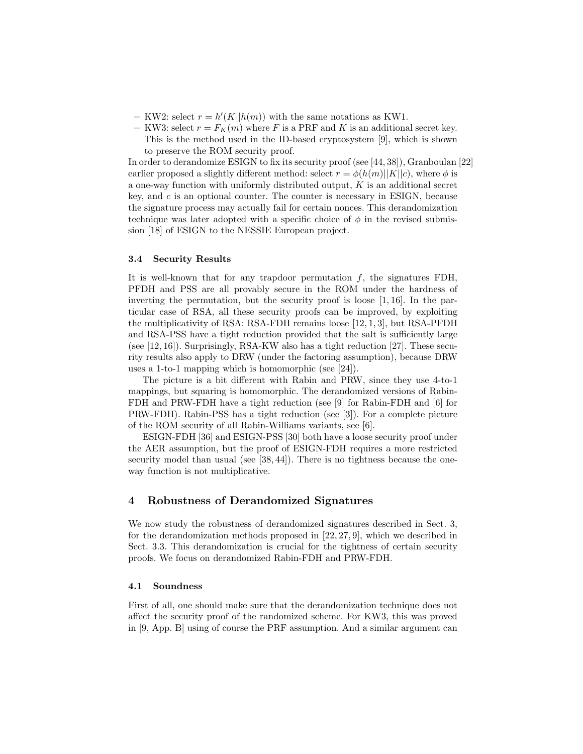- KW2: select  $r = h'(K||h(m))$  with the same notations as KW1.
- KW3: select  $r = F_K(m)$  where F is a PRF and K is an additional secret key. This is the method used in the ID-based cryptosystem [9], which is shown to preserve the ROM security proof.

In order to derandomize ESIGN to fix its security proof (see [44, 38]), Granboulan [22] earlier proposed a slightly different method: select  $r = \phi(h(m)||K||c)$ , where  $\phi$  is a one-way function with uniformly distributed output,  $K$  is an additional secret key, and c is an optional counter. The counter is necessary in ESIGN, because the signature process may actually fail for certain nonces. This derandomization technique was later adopted with a specific choice of  $\phi$  in the revised submission [18] of ESIGN to the NESSIE European project.

## 3.4 Security Results

It is well-known that for any trapdoor permutation  $f$ , the signatures FDH, PFDH and PSS are all provably secure in the ROM under the hardness of inverting the permutation, but the security proof is loose  $[1, 16]$ . In the particular case of RSA, all these security proofs can be improved, by exploiting the multiplicativity of RSA: RSA-FDH remains loose [12, 1, 3], but RSA-PFDH and RSA-PSS have a tight reduction provided that the salt is sufficiently large (see [12, 16]). Surprisingly, RSA-KW also has a tight reduction [27]. These security results also apply to DRW (under the factoring assumption), because DRW uses a 1-to-1 mapping which is homomorphic (see [24]).

The picture is a bit different with Rabin and PRW, since they use 4-to-1 mappings, but squaring is homomorphic. The derandomized versions of Rabin-FDH and PRW-FDH have a tight reduction (see [9] for Rabin-FDH and [6] for PRW-FDH). Rabin-PSS has a tight reduction (see [3]). For a complete picture of the ROM security of all Rabin-Williams variants, see [6].

ESIGN-FDH [36] and ESIGN-PSS [30] both have a loose security proof under the AER assumption, but the proof of ESIGN-FDH requires a more restricted security model than usual (see [38, 44]). There is no tightness because the oneway function is not multiplicative.

## 4 Robustness of Derandomized Signatures

We now study the robustness of derandomized signatures described in Sect. 3, for the derandomization methods proposed in [22, 27, 9], which we described in Sect. 3.3. This derandomization is crucial for the tightness of certain security proofs. We focus on derandomized Rabin-FDH and PRW-FDH.

## 4.1 Soundness

First of all, one should make sure that the derandomization technique does not affect the security proof of the randomized scheme. For KW3, this was proved in [9, App. B] using of course the PRF assumption. And a similar argument can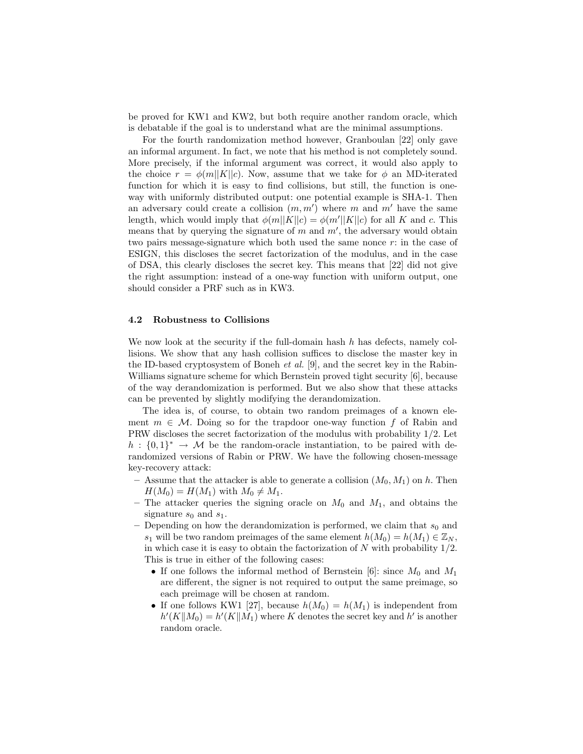be proved for KW1 and KW2, but both require another random oracle, which is debatable if the goal is to understand what are the minimal assumptions.

For the fourth randomization method however, Granboulan [22] only gave an informal argument. In fact, we note that his method is not completely sound. More precisely, if the informal argument was correct, it would also apply to the choice  $r = \phi(m||K||c)$ . Now, assume that we take for  $\phi$  an MD-iterated function for which it is easy to find collisions, but still, the function is oneway with uniformly distributed output: one potential example is SHA-1. Then an adversary could create a collision  $(m, m')$  where m and m' have the same length, which would imply that  $\phi(m||K||c) = \phi(m'||K||c)$  for all K and c. This means that by querying the signature of  $m$  and  $m'$ , the adversary would obtain two pairs message-signature which both used the same nonce  $r$ : in the case of ESIGN, this discloses the secret factorization of the modulus, and in the case of DSA, this clearly discloses the secret key. This means that [22] did not give the right assumption: instead of a one-way function with uniform output, one should consider a PRF such as in KW3.

## 4.2 Robustness to Collisions

We now look at the security if the full-domain hash  $h$  has defects, namely collisions. We show that any hash collision suffices to disclose the master key in the ID-based cryptosystem of Boneh *et al.* [9], and the secret key in the Rabin-Williams signature scheme for which Bernstein proved tight security [6], because of the way derandomization is performed. But we also show that these attacks can be prevented by slightly modifying the derandomization.

The idea is, of course, to obtain two random preimages of a known element  $m \in \mathcal{M}$ . Doing so for the trapdoor one-way function f of Rabin and PRW discloses the secret factorization of the modulus with probability 1/2. Let  $h: \{0,1\}^* \to \mathcal{M}$  be the random-oracle instantiation, to be paired with derandomized versions of Rabin or PRW. We have the following chosen-message key-recovery attack:

- Assume that the attacker is able to generate a collision  $(M_0, M_1)$  on h. Then  $H(M_0) = H(M_1)$  with  $M_0 \neq M_1$ .
- The attacker queries the signing oracle on  $M_0$  and  $M_1$ , and obtains the signature  $s_0$  and  $s_1$ .
- Depending on how the derandomization is performed, we claim that  $s_0$  and s<sub>1</sub> will be two random preimages of the same element  $h(M_0) = h(M_1) \in \mathbb{Z}_N$ , in which case it is easy to obtain the factorization of  $N$  with probability  $1/2$ . This is true in either of the following cases:
	- If one follows the informal method of Bernstein [6]: since  $M_0$  and  $M_1$ are different, the signer is not required to output the same preimage, so each preimage will be chosen at random.
	- If one follows KW1 [27], because  $h(M_0) = h(M_1)$  is independent from  $h'(K||M_0) = h'(K||M_1)$  where K denotes the secret key and  $h'$  is another random oracle.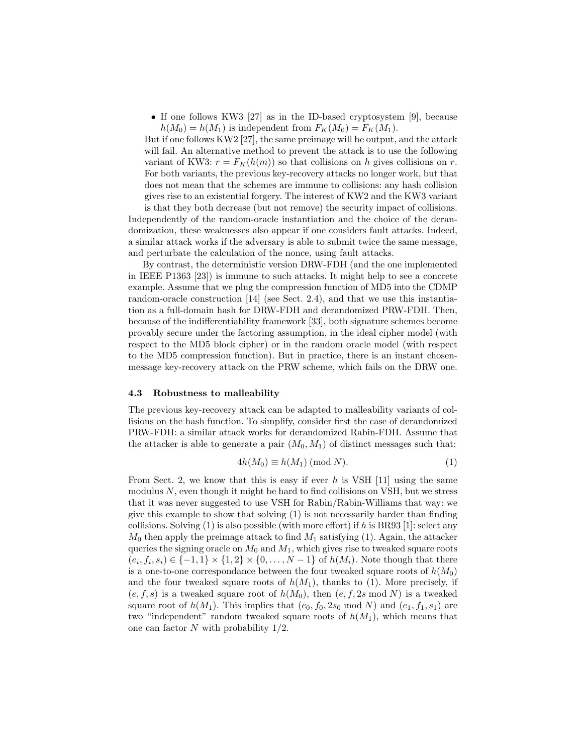• If one follows KW3 [27] as in the ID-based cryptosystem [9], because  $h(M_0) = h(M_1)$  is independent from  $F_K(M_0) = F_K(M_1)$ .

But if one follows KW2 [27], the same preimage will be output, and the attack will fail. An alternative method to prevent the attack is to use the following variant of KW3:  $r = F_K(h(m))$  so that collisions on h gives collisions on r. For both variants, the previous key-recovery attacks no longer work, but that does not mean that the schemes are immune to collisions: any hash collision gives rise to an existential forgery. The interest of KW2 and the KW3 variant

is that they both decrease (but not remove) the security impact of collisions. Independently of the random-oracle instantiation and the choice of the derandomization, these weaknesses also appear if one considers fault attacks. Indeed, a similar attack works if the adversary is able to submit twice the same message, and perturbate the calculation of the nonce, using fault attacks.

By contrast, the deterministic version DRW-FDH (and the one implemented in IEEE P1363 [23]) is immune to such attacks. It might help to see a concrete example. Assume that we plug the compression function of MD5 into the CDMP random-oracle construction [14] (see Sect. 2.4), and that we use this instantiation as a full-domain hash for DRW-FDH and derandomized PRW-FDH. Then, because of the indifferentiability framework [33], both signature schemes become provably secure under the factoring assumption, in the ideal cipher model (with respect to the MD5 block cipher) or in the random oracle model (with respect to the MD5 compression function). But in practice, there is an instant chosenmessage key-recovery attack on the PRW scheme, which fails on the DRW one.

### 4.3 Robustness to malleability

The previous key-recovery attack can be adapted to malleability variants of collisions on the hash function. To simplify, consider first the case of derandomized PRW-FDH: a similar attack works for derandomized Rabin-FDH. Assume that the attacker is able to generate a pair  $(M_0, M_1)$  of distinct messages such that:

$$
4h(M_0) \equiv h(M_1) \pmod{N}.
$$
 (1)

From Sect. 2, we know that this is easy if ever h is VSH  $[11]$  using the same modulus  $N$ , even though it might be hard to find collisions on VSH, but we stress that it was never suggested to use VSH for Rabin/Rabin-Williams that way: we give this example to show that solving (1) is not necessarily harder than finding collisions. Solving  $(1)$  is also possible (with more effort) if h is BR93 [1]: select any  $M_0$  then apply the preimage attack to find  $M_1$  satisfying (1). Again, the attacker queries the signing oracle on  $M_0$  and  $M_1$ , which gives rise to tweaked square roots  $(e_i, f_i, s_i) \in \{-1, 1\} \times \{1, 2\} \times \{0, \ldots, N - 1\}$  of  $h(M_i)$ . Note though that there is a one-to-one correspondance between the four tweaked square roots of  $h(M_0)$ and the four tweaked square roots of  $h(M_1)$ , thanks to (1). More precisely, if  $(e, f, s)$  is a tweaked square root of  $h(M_0)$ , then  $(e, f, 2s \mod N)$  is a tweaked square root of  $h(M_1)$ . This implies that  $(e_0, f_0, 2s_0 \text{ mod } N)$  and  $(e_1, f_1, s_1)$  are two "independent" random tweaked square roots of  $h(M_1)$ , which means that one can factor N with probability  $1/2$ .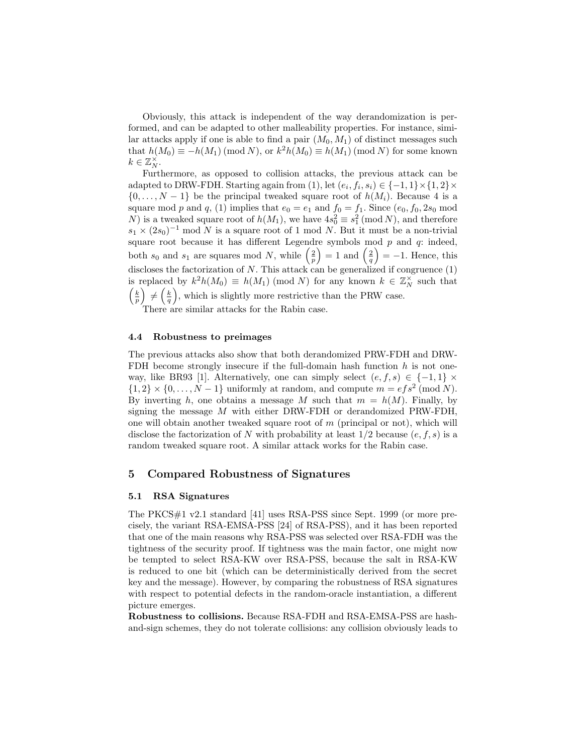Obviously, this attack is independent of the way derandomization is performed, and can be adapted to other malleability properties. For instance, similar attacks apply if one is able to find a pair  $(M_0, M_1)$  of distinct messages such that  $h(M_0) \equiv -h(M_1) \pmod{N}$ , or  $k^2 h(M_0) \equiv h(M_1) \pmod{N}$  for some known  $k \in \mathbb{Z}_N^{\times}$ .

Furthermore, as opposed to collision attacks, the previous attack can be adapted to DRW-FDH. Starting again from (1), let  $(e_i, f_i, s_i) \in \{-1, 1\} \times \{1, 2\} \times$  $\{0, \ldots, N-1\}$  be the principal tweaked square root of  $h(M_i)$ . Because 4 is a square mod p and q, (1) implies that  $e_0 = e_1$  and  $f_0 = f_1$ . Since  $(e_0, f_0, 2s_0 \mod$ N) is a tweaked square root of  $h(M_1)$ , we have  $4s_0^2 \equiv s_1^2 \pmod{N}$ , and therefore  $s_1 \times (2s_0)^{-1}$  mod N is a square root of 1 mod N. But it must be a non-trivial square root because it has different Legendre symbols mod  $p$  and  $q$ : indeed, both  $s_0$  and  $s_1$  are squares mod N, while  $\left(\frac{2}{p}\right) = 1$  and  $\left(\frac{2}{q}\right) = -1$ . Hence, this discloses the factorization of  $N$ . This attack can be generalized if congruence  $(1)$ is replaced by  $k^2h(M_0) \equiv h(M_1) \pmod{N}$  for any known  $k \in \mathbb{Z}_N^{\times}$  such that  $\left(\frac{k}{p}\right) \neq \left(\frac{k}{q}\right)$ , which is slightly more restrictive than the PRW case.

There are similar attacks for the Rabin case.

## 4.4 Robustness to preimages

The previous attacks also show that both derandomized PRW-FDH and DRW-FDH become strongly insecure if the full-domain hash function  $h$  is not oneway, like BR93 [1]. Alternatively, one can simply select  $(e, f, s) \in \{-1, 1\} \times$  $\{1,2\} \times \{0,\ldots,N-1\}$  uniformly at random, and compute  $m = efs^2 \pmod{N}$ . By inverting h, one obtains a message M such that  $m = h(M)$ . Finally, by signing the message M with either DRW-FDH or derandomized PRW-FDH, one will obtain another tweaked square root of  $m$  (principal or not), which will disclose the factorization of N with probability at least  $1/2$  because  $(e, f, s)$  is a random tweaked square root. A similar attack works for the Rabin case.

## 5 Compared Robustness of Signatures

## 5.1 RSA Signatures

The PKCS#1 v2.1 standard [41] uses RSA-PSS since Sept. 1999 (or more precisely, the variant RSA-EMSA-PSS [24] of RSA-PSS), and it has been reported that one of the main reasons why RSA-PSS was selected over RSA-FDH was the tightness of the security proof. If tightness was the main factor, one might now be tempted to select RSA-KW over RSA-PSS, because the salt in RSA-KW is reduced to one bit (which can be deterministically derived from the secret key and the message). However, by comparing the robustness of RSA signatures with respect to potential defects in the random-oracle instantiation, a different picture emerges.

Robustness to collisions. Because RSA-FDH and RSA-EMSA-PSS are hashand-sign schemes, they do not tolerate collisions: any collision obviously leads to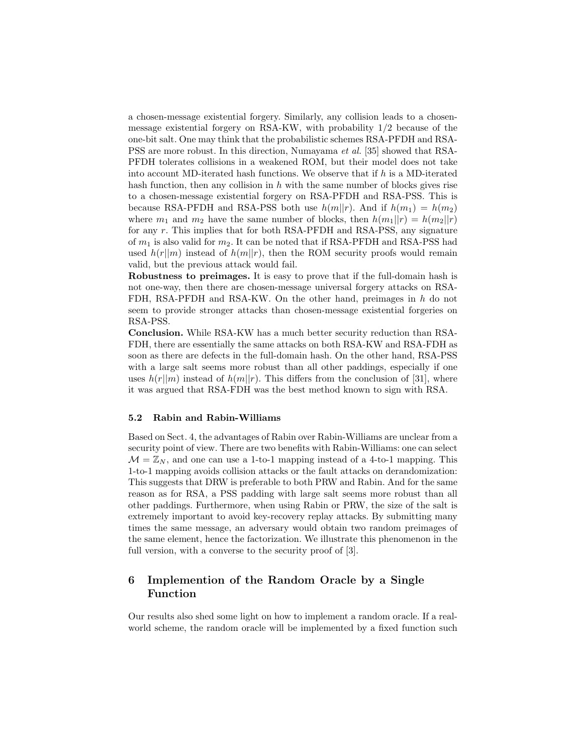a chosen-message existential forgery. Similarly, any collision leads to a chosenmessage existential forgery on RSA-KW, with probability 1/2 because of the one-bit salt. One may think that the probabilistic schemes RSA-PFDH and RSA-PSS are more robust. In this direction, Numayama et al. [35] showed that RSA-PFDH tolerates collisions in a weakened ROM, but their model does not take into account MD-iterated hash functions. We observe that if  $h$  is a MD-iterated hash function, then any collision in  $h$  with the same number of blocks gives rise to a chosen-message existential forgery on RSA-PFDH and RSA-PSS. This is because RSA-PFDH and RSA-PSS both use  $h(m||r)$ . And if  $h(m_1) = h(m_2)$ where  $m_1$  and  $m_2$  have the same number of blocks, then  $h(m_1||r) = h(m_2||r)$ for any r. This implies that for both RSA-PFDH and RSA-PSS, any signature of  $m_1$  is also valid for  $m_2$ . It can be noted that if RSA-PFDH and RSA-PSS had used  $h(r||m)$  instead of  $h(m||r)$ , then the ROM security proofs would remain valid, but the previous attack would fail.

Robustness to preimages. It is easy to prove that if the full-domain hash is not one-way, then there are chosen-message universal forgery attacks on RSA-FDH, RSA-PFDH and RSA-KW. On the other hand, preimages in h do not seem to provide stronger attacks than chosen-message existential forgeries on RSA-PSS.

Conclusion. While RSA-KW has a much better security reduction than RSA-FDH, there are essentially the same attacks on both RSA-KW and RSA-FDH as soon as there are defects in the full-domain hash. On the other hand, RSA-PSS with a large salt seems more robust than all other paddings, especially if one uses  $h(r||m)$  instead of  $h(m||r)$ . This differs from the conclusion of [31], where it was argued that RSA-FDH was the best method known to sign with RSA.

### 5.2 Rabin and Rabin-Williams

Based on Sect. 4, the advantages of Rabin over Rabin-Williams are unclear from a security point of view. There are two benefits with Rabin-Williams: one can select  $\mathcal{M} = \mathbb{Z}_N$ , and one can use a 1-to-1 mapping instead of a 4-to-1 mapping. This 1-to-1 mapping avoids collision attacks or the fault attacks on derandomization: This suggests that DRW is preferable to both PRW and Rabin. And for the same reason as for RSA, a PSS padding with large salt seems more robust than all other paddings. Furthermore, when using Rabin or PRW, the size of the salt is extremely important to avoid key-recovery replay attacks. By submitting many times the same message, an adversary would obtain two random preimages of the same element, hence the factorization. We illustrate this phenomenon in the full version, with a converse to the security proof of [3].

# 6 Implemention of the Random Oracle by a Single Function

Our results also shed some light on how to implement a random oracle. If a realworld scheme, the random oracle will be implemented by a fixed function such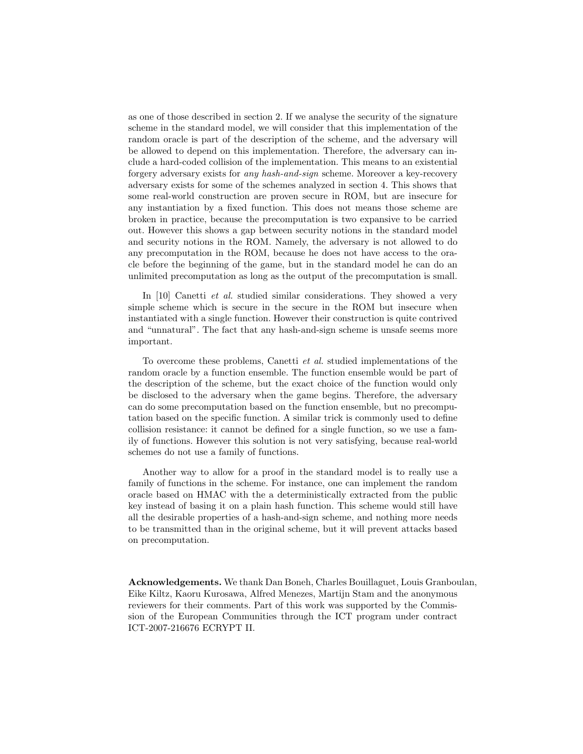as one of those described in section 2. If we analyse the security of the signature scheme in the standard model, we will consider that this implementation of the random oracle is part of the description of the scheme, and the adversary will be allowed to depend on this implementation. Therefore, the adversary can include a hard-coded collision of the implementation. This means to an existential forgery adversary exists for any hash-and-sign scheme. Moreover a key-recovery adversary exists for some of the schemes analyzed in section 4. This shows that some real-world construction are proven secure in ROM, but are insecure for any instantiation by a fixed function. This does not means those scheme are broken in practice, because the precomputation is two expansive to be carried out. However this shows a gap between security notions in the standard model and security notions in the ROM. Namely, the adversary is not allowed to do any precomputation in the ROM, because he does not have access to the oracle before the beginning of the game, but in the standard model he can do an unlimited precomputation as long as the output of the precomputation is small.

In [10] Canetti *et al.* studied similar considerations. They showed a very simple scheme which is secure in the secure in the ROM but insecure when instantiated with a single function. However their construction is quite contrived and "unnatural". The fact that any hash-and-sign scheme is unsafe seems more important.

To overcome these problems, Canetti et al. studied implementations of the random oracle by a function ensemble. The function ensemble would be part of the description of the scheme, but the exact choice of the function would only be disclosed to the adversary when the game begins. Therefore, the adversary can do some precomputation based on the function ensemble, but no precomputation based on the specific function. A similar trick is commonly used to define collision resistance: it cannot be defined for a single function, so we use a family of functions. However this solution is not very satisfying, because real-world schemes do not use a family of functions.

Another way to allow for a proof in the standard model is to really use a family of functions in the scheme. For instance, one can implement the random oracle based on HMAC with the a deterministically extracted from the public key instead of basing it on a plain hash function. This scheme would still have all the desirable properties of a hash-and-sign scheme, and nothing more needs to be transmitted than in the original scheme, but it will prevent attacks based on precomputation.

Acknowledgements. We thank Dan Boneh, Charles Bouillaguet, Louis Granboulan, Eike Kiltz, Kaoru Kurosawa, Alfred Menezes, Martijn Stam and the anonymous reviewers for their comments. Part of this work was supported by the Commission of the European Communities through the ICT program under contract ICT-2007-216676 ECRYPT II.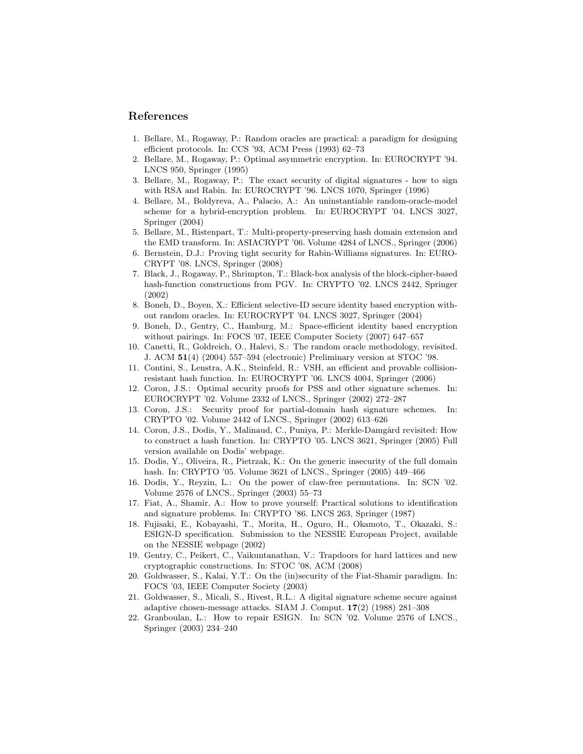# References

- 1. Bellare, M., Rogaway, P.: Random oracles are practical: a paradigm for designing efficient protocols. In: CCS '93, ACM Press (1993) 62–73
- 2. Bellare, M., Rogaway, P.: Optimal asymmetric encryption. In: EUROCRYPT '94. LNCS 950, Springer (1995)
- 3. Bellare, M., Rogaway, P.: The exact security of digital signatures how to sign with RSA and Rabin. In: EUROCRYPT '96. LNCS 1070, Springer (1996)
- 4. Bellare, M., Boldyreva, A., Palacio, A.: An uninstantiable random-oracle-model scheme for a hybrid-encryption problem. In: EUROCRYPT '04. LNCS 3027, Springer (2004)
- 5. Bellare, M., Ristenpart, T.: Multi-property-preserving hash domain extension and the EMD transform. In: ASIACRYPT '06. Volume 4284 of LNCS., Springer (2006)
- 6. Bernstein, D.J.: Proving tight security for Rabin-Williams signatures. In: EURO-CRYPT '08. LNCS, Springer (2008)
- 7. Black, J., Rogaway, P., Shrimpton, T.: Black-box analysis of the block-cipher-based hash-function constructions from PGV. In: CRYPTO '02. LNCS 2442, Springer (2002)
- 8. Boneh, D., Boyen, X.: Efficient selective-ID secure identity based encryption without random oracles. In: EUROCRYPT '04. LNCS 3027, Springer (2004)
- 9. Boneh, D., Gentry, C., Hamburg, M.: Space-efficient identity based encryption without pairings. In: FOCS '07, IEEE Computer Society (2007) 647–657
- 10. Canetti, R., Goldreich, O., Halevi, S.: The random oracle methodology, revisited. J. ACM 51(4) (2004) 557–594 (electronic) Preliminary version at STOC '98.
- 11. Contini, S., Lenstra, A.K., Steinfeld, R.: VSH, an efficient and provable collisionresistant hash function. In: EUROCRYPT '06. LNCS 4004, Springer (2006)
- 12. Coron, J.S.: Optimal security proofs for PSS and other signature schemes. In: EUROCRYPT '02. Volume 2332 of LNCS., Springer (2002) 272–287
- 13. Coron, J.S.: Security proof for partial-domain hash signature schemes. In: CRYPTO '02. Volume 2442 of LNCS., Springer (2002) 613–626
- 14. Coron, J.S., Dodis, Y., Malinaud, C., Puniya, P.: Merkle-Damgård revisited: How to construct a hash function. In: CRYPTO '05. LNCS 3621, Springer (2005) Full version available on Dodis' webpage.
- 15. Dodis, Y., Oliveira, R., Pietrzak, K.: On the generic insecurity of the full domain hash. In: CRYPTO '05. Volume 3621 of LNCS., Springer (2005) 449–466
- 16. Dodis, Y., Reyzin, L.: On the power of claw-free permutations. In: SCN '02. Volume 2576 of LNCS., Springer (2003) 55–73
- 17. Fiat, A., Shamir, A.: How to prove yourself: Practical solutions to identification and signature problems. In: CRYPTO '86. LNCS 263, Springer (1987)
- 18. Fujisaki, E., Kobayashi, T., Morita, H., Oguro, H., Okamoto, T., Okazaki, S.: ESIGN-D specification. Submission to the NESSIE European Project, available on the NESSIE webpage (2002)
- 19. Gentry, C., Peikert, C., Vaikuntanathan, V.: Trapdoors for hard lattices and new cryptographic constructions. In: STOC '08, ACM (2008)
- 20. Goldwasser, S., Kalai, Y.T.: On the (in)security of the Fiat-Shamir paradigm. In: FOCS '03, IEEE Computer Society (2003)
- 21. Goldwasser, S., Micali, S., Rivest, R.L.: A digital signature scheme secure against adaptive chosen-message attacks. SIAM J. Comput. 17(2) (1988) 281–308
- 22. Granboulan, L.: How to repair ESIGN. In: SCN '02. Volume 2576 of LNCS., Springer (2003) 234–240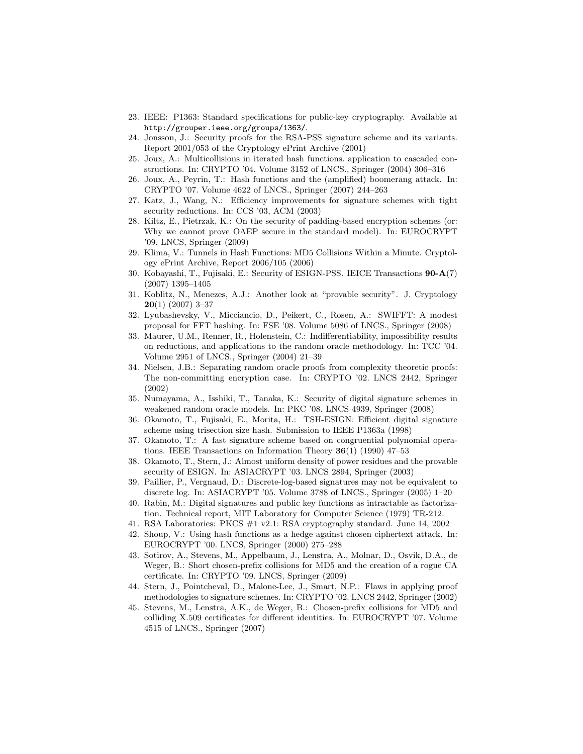- 23. IEEE: P1363: Standard specifications for public-key cryptography. Available at http://grouper.ieee.org/groups/1363/.
- 24. Jonsson, J.: Security proofs for the RSA-PSS signature scheme and its variants. Report 2001/053 of the Cryptology ePrint Archive (2001)
- 25. Joux, A.: Multicollisions in iterated hash functions. application to cascaded constructions. In: CRYPTO '04. Volume 3152 of LNCS., Springer (2004) 306–316
- 26. Joux, A., Peyrin, T.: Hash functions and the (amplified) boomerang attack. In: CRYPTO '07. Volume 4622 of LNCS., Springer (2007) 244–263
- 27. Katz, J., Wang, N.: Efficiency improvements for signature schemes with tight security reductions. In: CCS '03, ACM (2003)
- 28. Kiltz, E., Pietrzak, K.: On the security of padding-based encryption schemes (or: Why we cannot prove OAEP secure in the standard model). In: EUROCRYPT '09. LNCS, Springer (2009)
- 29. Klima, V.: Tunnels in Hash Functions: MD5 Collisions Within a Minute. Cryptology ePrint Archive, Report 2006/105 (2006)
- 30. Kobayashi, T., Fujisaki, E.: Security of ESIGN-PSS. IEICE Transactions 90-A(7) (2007) 1395–1405
- 31. Koblitz, N., Menezes, A.J.: Another look at "provable security". J. Cryptology  $20(1)$  (2007) 3-37
- 32. Lyubashevsky, V., Micciancio, D., Peikert, C., Rosen, A.: SWIFFT: A modest proposal for FFT hashing. In: FSE '08. Volume 5086 of LNCS., Springer (2008)
- 33. Maurer, U.M., Renner, R., Holenstein, C.: Indifferentiability, impossibility results on reductions, and applications to the random oracle methodology. In: TCC '04. Volume 2951 of LNCS., Springer (2004) 21–39
- 34. Nielsen, J.B.: Separating random oracle proofs from complexity theoretic proofs: The non-committing encryption case. In: CRYPTO '02. LNCS 2442, Springer (2002)
- 35. Numayama, A., Isshiki, T., Tanaka, K.: Security of digital signature schemes in weakened random oracle models. In: PKC '08. LNCS 4939, Springer (2008)
- 36. Okamoto, T., Fujisaki, E., Morita, H.: TSH-ESIGN: Efficient digital signature scheme using trisection size hash. Submission to IEEE P1363a (1998)
- 37. Okamoto, T.: A fast signature scheme based on congruential polynomial operations. IEEE Transactions on Information Theory  $36(1)$  (1990) 47–53
- 38. Okamoto, T., Stern, J.: Almost uniform density of power residues and the provable security of ESIGN. In: ASIACRYPT '03. LNCS 2894, Springer (2003)
- 39. Paillier, P., Vergnaud, D.: Discrete-log-based signatures may not be equivalent to discrete log. In: ASIACRYPT '05. Volume 3788 of LNCS., Springer (2005) 1–20
- 40. Rabin, M.: Digital signatures and public key functions as intractable as factorization. Technical report, MIT Laboratory for Computer Science (1979) TR-212.
- 41. RSA Laboratories: PKCS #1 v2.1: RSA cryptography standard. June 14, 2002
- 42. Shoup, V.: Using hash functions as a hedge against chosen ciphertext attack. In: EUROCRYPT '00. LNCS, Springer (2000) 275–288
- 43. Sotirov, A., Stevens, M., Appelbaum, J., Lenstra, A., Molnar, D., Osvik, D.A., de Weger, B.: Short chosen-prefix collisions for MD5 and the creation of a rogue CA certificate. In: CRYPTO '09. LNCS, Springer (2009)
- 44. Stern, J., Pointcheval, D., Malone-Lee, J., Smart, N.P.: Flaws in applying proof methodologies to signature schemes. In: CRYPTO '02. LNCS 2442, Springer (2002)
- 45. Stevens, M., Lenstra, A.K., de Weger, B.: Chosen-prefix collisions for MD5 and colliding X.509 certificates for different identities. In: EUROCRYPT '07. Volume 4515 of LNCS., Springer (2007)